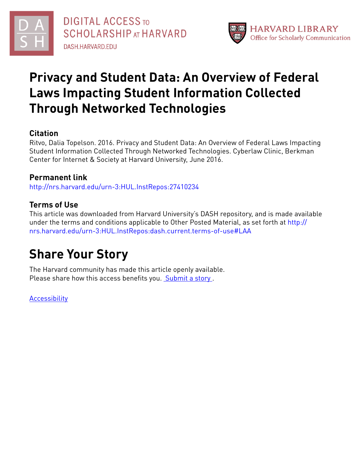

# **Privacy and Student Data: An Overview of Federal Laws Impacting Student Information Collected Through Networked Technologies**

# **Citation**

Ritvo, Dalia Topelson. 2016. Privacy and Student Data: An Overview of Federal Laws Impacting Student Information Collected Through Networked Technologies. Cyberlaw Clinic, Berkman Center for Internet & Society at Harvard University, June 2016.

# **Permanent link**

<http://nrs.harvard.edu/urn-3:HUL.InstRepos:27410234>

# **Terms of Use**

This article was downloaded from Harvard University's DASH repository, and is made available under the terms and conditions applicable to Other Posted Material, as set forth at [http://](http://nrs.harvard.edu/urn-3:HUL.InstRepos:dash.current.terms-of-use#LAA) [nrs.harvard.edu/urn-3:HUL.InstRepos:dash.current.terms-of-use#LAA](http://nrs.harvard.edu/urn-3:HUL.InstRepos:dash.current.terms-of-use#LAA)

# **Share Your Story**

The Harvard community has made this article openly available. Please share how this access benefits you. [Submit](http://osc.hul.harvard.edu/dash/open-access-feedback?handle=&title=Privacy%20and%20Student%20Data:%20An%20Overview%20of%20Federal%20Laws%20Impacting%20Student%20Information%20Collected%20Through%20Networked%20Technologies&community=1/7&collection=1/8&owningCollection1/8&harvardAuthors=2f9acbf588cde1761354230078dd9851&department) a story.

**[Accessibility](https://dash.harvard.edu/pages/accessibility)**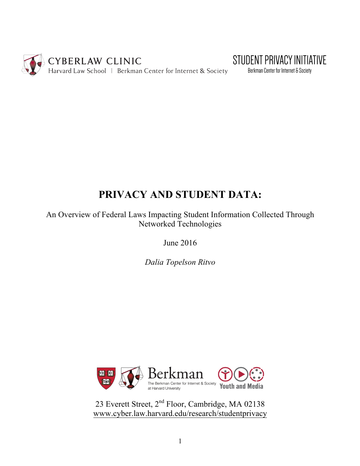



Berkman Center for Internet & Society

# **PRIVACY AND STUDENT DATA:**

An Overview of Federal Laws Impacting Student Information Collected Through Networked Technologies

June 2016

*Dalia Topelson Ritvo*



23 Everett Street, 2nd Floor, Cambridge, MA 02138 www.cyber.law.harvard.edu/research/studentprivacy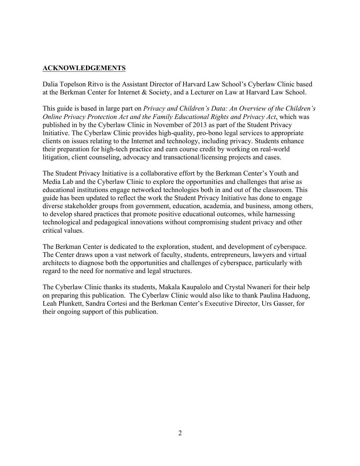## **ACKNOWLEDGEMENTS**

Dalia Topelson Ritvo is the Assistant Director of Harvard Law School's Cyberlaw Clinic based at the Berkman Center for Internet & Society, and a Lecturer on Law at Harvard Law School.

This guide is based in large part on *Privacy and Children's Data: An Overview of the Children's Online Privacy Protection Act and the Family Educational Rights and Privacy Act*, which was published in by the Cyberlaw Clinic in November of 2013 as part of the Student Privacy Initiative. The Cyberlaw Clinic provides high-quality, pro-bono legal services to appropriate clients on issues relating to the Internet and technology, including privacy. Students enhance their preparation for high-tech practice and earn course credit by working on real-world litigation, client counseling, advocacy and transactional/licensing projects and cases.

The Student Privacy Initiative is a collaborative effort by the Berkman Center's Youth and Media Lab and the Cyberlaw Clinic to explore the opportunities and challenges that arise as educational institutions engage networked technologies both in and out of the classroom. This guide has been updated to reflect the work the Student Privacy Initiative has done to engage diverse stakeholder groups from government, education, academia, and business, among others, to develop shared practices that promote positive educational outcomes, while harnessing technological and pedagogical innovations without compromising student privacy and other critical values.

The Berkman Center is dedicated to the exploration, student, and development of cyberspace. The Center draws upon a vast network of faculty, students, entrepreneurs, lawyers and virtual architects to diagnose both the opportunities and challenges of cyberspace, particularly with regard to the need for normative and legal structures.

The Cyberlaw Clinic thanks its students, Makala Kaupalolo and Crystal Nwaneri for their help on preparing this publication. The Cyberlaw Clinic would also like to thank Paulina Haduong, Leah Plunkett, Sandra Cortesi and the Berkman Center's Executive Director, Urs Gasser, for their ongoing support of this publication.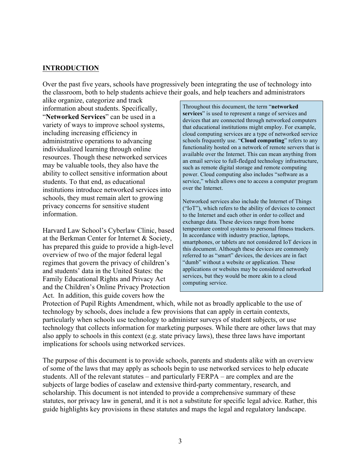### **INTRODUCTION**

Over the past five years, schools have progressively been integrating the use of technology into the classroom, both to help students achieve their goals, and help teachers and administrators

alike organize, categorize and track information about students. Specifically, "**Networked Services**" can be used in a variety of ways to improve school systems, including increasing efficiency in administrative operations to advancing individualized learning through online resources. Though these networked services may be valuable tools, they also have the ability to collect sensitive information about students. To that end, as educational institutions introduce networked services into schools, they must remain alert to growing privacy concerns for sensitive student information.

Harvard Law School's Cyberlaw Clinic, based at the Berkman Center for Internet & Society, has prepared this guide to provide a high-level overview of two of the major federal legal regimes that govern the privacy of children's and students' data in the United States: the Family Educational Rights and Privacy Act and the Children's Online Privacy Protection Act. In addition, this guide covers how the

Throughout this document, the term "**networked** services" is used to represent a range of services and devices that are connected through networked computers that educational institutions might employ. For example, cloud computing services are a type of networked service schools frequently use. "**Cloud computing**" refers to any functionality hosted on a network of remote servers that is available over the Internet. This can mean anything from an email service to full-fledged technology infrastructure, such as remote digital storage and remote computing power. Cloud computing also includes "software as a service," which allows one to access a computer program over the Internet.

Networked services also include the Internet of Things ("IoT"), which refers to the ability of devices to connect to the Internet and each other in order to collect and exchange data. These devices range from home temperature control systems to personal fitness trackers. In accordance with industry practice, laptops, smartphones, or tablets are not considered IoT devices in this document. Although these devices are commonly referred to as "smart" devices, the devices are in fact "dumb" without a website or application. These applications or websites may be considered networked services, but they would be more akin to a cloud computing service.

Protection of Pupil Rights Amendment, which, while not as broadly applicable to the use of technology by schools, does include a few provisions that can apply in certain contexts, particularly when schools use technology to administer surveys of student subjects, or use technology that collects information for marketing purposes. While there are other laws that may also apply to schools in this context (e.g. state privacy laws), these three laws have important implications for schools using networked services.

The purpose of this document is to provide schools, parents and students alike with an overview of some of the laws that may apply as schools begin to use networked services to help educate students. All of the relevant statutes – and particularly FERPA – are complex and are the subjects of large bodies of caselaw and extensive third-party commentary, research, and scholarship. This document is not intended to provide a comprehensive summary of these statutes, nor privacy law in general, and it is not a substitute for specific legal advice. Rather, this guide highlights key provisions in these statutes and maps the legal and regulatory landscape.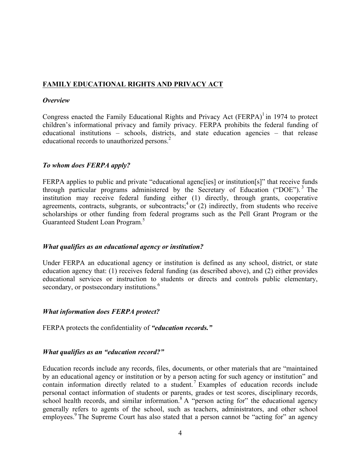# **FAMILY EDUCATIONAL RIGHTS AND PRIVACY ACT**

#### *Overview*

Congress enacted the Family Educational Rights and Privacy Act (FERPA)<sup>1</sup> in 1974 to protect children's informational privacy and family privacy. FERPA prohibits the federal funding of educational institutions – schools, districts, and state education agencies – that release educational records to unauthorized persons.<sup>2</sup>

#### *To whom does FERPA apply?*

FERPA applies to public and private "educational agences" or institutions" that receive funds through particular programs administered by the Secretary of Education ("DOE"). <sup>3</sup> The institution may receive federal funding either (1) directly, through grants, cooperative agreements, contracts, subgrants, or subcontracts;  $\alpha$  or (2) indirectly, from students who receive scholarships or other funding from federal programs such as the Pell Grant Program or the Guaranteed Student Loan Program.<sup>5</sup>

#### *What qualifies as an educational agency or institution?*

Under FERPA an educational agency or institution is defined as any school, district, or state education agency that: (1) receives federal funding (as described above), and (2) either provides educational services or instruction to students or directs and controls public elementary, secondary, or postsecondary institutions.<sup>6</sup>

#### *What information does FERPA protect?*

FERPA protects the confidentiality of *"education records."*

#### *What qualifies as an "education record?"*

Education records include any records, files, documents, or other materials that are "maintained by an educational agency or institution or by a person acting for such agency or institution" and contain information directly related to a student.<sup>7</sup> Examples of education records include personal contact information of students or parents, grades or test scores, disciplinary records, school health records, and similar information.<sup>8</sup> A "person acting for" the educational agency generally refers to agents of the school, such as teachers, administrators, and other school employees.<sup>9</sup> The Supreme Court has also stated that a person cannot be "acting for" an agency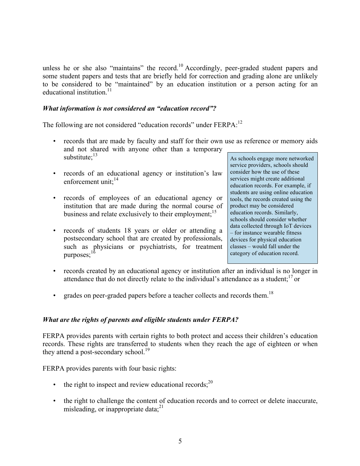unless he or she also "maintains" the record.<sup>10</sup> Accordingly, peer-graded student papers and some student papers and tests that are briefly held for correction and grading alone are unlikely to be considered to be "maintained" by an education institution or a person acting for an educational institution<sup>11</sup>

#### *What information is not considered an "education record"?*

The following are not considered "education records" under FERPA:<sup>12</sup>

- records that are made by faculty and staff for their own use as reference or memory aids and not shared with anyone other than a temporary substitute; $^{13}$
- records of an educational agency or institution's law enforcement unit: $^{14}$
- records of employees of an educational agency or institution that are made during the normal course of business and relate exclusively to their employment;  $15$
- records of students 18 years or older or attending a postsecondary school that are created by professionals, such as physicians or psychiatrists, for treatment purposes: $16$

As schools engage more networked service providers, schools should consider how the use of these services might create additional education records. For example, if students are using online education tools, the records created using the product may be considered education records. Similarly, schools should consider whether data collected through IoT devices – for instance wearable fitness devices for physical education classes – would fall under the category of education record.

- records created by an educational agency or institution after an individual is no longer in attendance that do not directly relate to the individual's attendance as a student;  $\frac{17}{2}$  or
- grades on peer-graded papers before a teacher collects and records them.<sup>18</sup>

#### *What are the rights of parents and eligible students under FERPA?*

FERPA provides parents with certain rights to both protect and access their children's education records. These rights are transferred to students when they reach the age of eighteen or when they attend a post-secondary school.<sup>19</sup>

FERPA provides parents with four basic rights:

- the right to inspect and review educational records;  $2^{0}$
- the right to challenge the content of education records and to correct or delete inaccurate, misleading, or inappropriate data; $^{21}$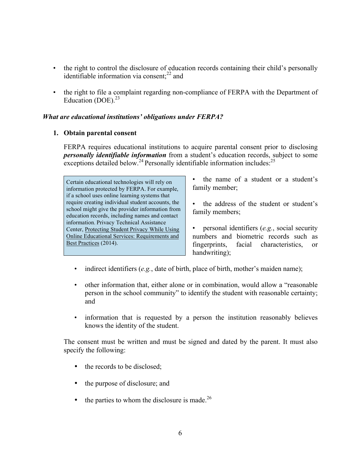- the right to control the disclosure of education records containing their child's personally identifiable information via consent; $^{22}$  and
- the right to file a complaint regarding non-compliance of FERPA with the Department of Education (DOE). $^{23}$

#### *What are educational institutions' obligations under FERPA?*

#### **1. Obtain parental consent**

FERPA requires educational institutions to acquire parental consent prior to disclosing *personally identifiable information* from a student's education records, subject to some exceptions detailed below.<sup>24</sup> Personally identifiable information includes:  $^{25}$ 

Certain educational technologies will rely on information protected by FERPA. For example, if a school uses online learning systems that require creating individual student accounts, the school might give the provider information from education records, including names and contact information. Privacy Technical Assistance Center, Protecting Student Privacy While Using Online Educational Services: Requirements and Best Practices (2014).

• the name of a student or a student's family member;

• the address of the student or student's family members;

• personal identifiers (*e.g.*, social security numbers and biometric records such as fingerprints, facial characteristics, or handwriting);

- indirect identifiers (*e.g.*, date of birth, place of birth, mother's maiden name);
- other information that, either alone or in combination, would allow a "reasonable person in the school community" to identify the student with reasonable certainty; and
- information that is requested by a person the institution reasonably believes knows the identity of the student.

The consent must be written and must be signed and dated by the parent. It must also specify the following:

- the records to be disclosed;
- the purpose of disclosure; and
- the parties to whom the disclosure is made.<sup>26</sup>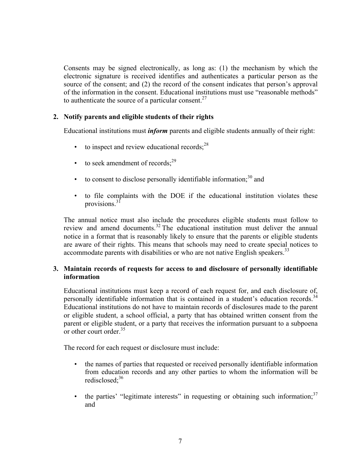Consents may be signed electronically, as long as: (1) the mechanism by which the electronic signature is received identifies and authenticates a particular person as the source of the consent; and (2) the record of the consent indicates that person's approval of the information in the consent. Educational institutions must use "reasonable methods" to authenticate the source of a particular consent.<sup>27</sup>

#### **2. Notify parents and eligible students of their rights**

Educational institutions must *inform* parents and eligible students annually of their right:

- $\cdot$  to inspect and review educational records;<sup>28</sup>
- to seek amendment of records: $^{29}$
- to consent to disclose personally identifiable information; $30$  and
- to file complaints with the DOE if the educational institution violates these provisions.<sup>31</sup>

The annual notice must also include the procedures eligible students must follow to review and amend documents.<sup>32</sup> The educational institution must deliver the annual notice in a format that is reasonably likely to ensure that the parents or eligible students are aware of their rights. This means that schools may need to create special notices to accommodate parents with disabilities or who are not native English speakers.<sup>33</sup>

#### **3. Maintain records of requests for access to and disclosure of personally identifiable information**

Educational institutions must keep a record of each request for, and each disclosure of, personally identifiable information that is contained in a student's education records.<sup>34</sup> Educational institutions do not have to maintain records of disclosures made to the parent or eligible student, a school official, a party that has obtained written consent from the parent or eligible student, or a party that receives the information pursuant to a subpoena or other court order.<sup>35</sup>

The record for each request or disclosure must include:

- the names of parties that requested or received personally identifiable information from education records and any other parties to whom the information will be redisclosed:<sup>36</sup>
- the parties' "legitimate interests" in requesting or obtaining such information; $37$ and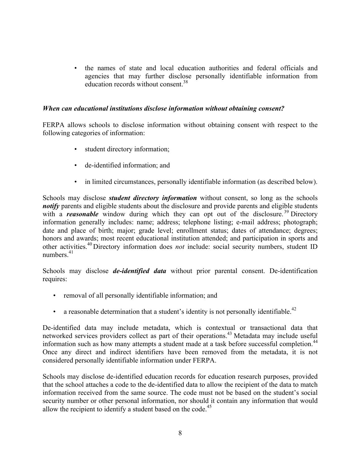• the names of state and local education authorities and federal officials and agencies that may further disclose personally identifiable information from education records without consent.<sup>38</sup>

#### *When can educational institutions disclose information without obtaining consent?*

FERPA allows schools to disclose information without obtaining consent with respect to the following categories of information:

- student directory information;
- de-identified information; and
- in limited circumstances, personally identifiable information (as described below).

Schools may disclose *student directory information* without consent, so long as the schools *notify* parents and eligible students about the disclosure and provide parents and eligible students with a *reasonable* window during which they can opt out of the disclosure.<sup>39</sup> Directory information generally includes: name; address; telephone listing; e-mail address; photograph; date and place of birth; major; grade level; enrollment status; dates of attendance; degrees; honors and awards; most recent educational institution attended; and participation in sports and other activities.<sup>40</sup> Directory information does *not* include: social security numbers, student ID numbers $41$ 

Schools may disclose *de-identified data* without prior parental consent. De-identification requires:

- removal of all personally identifiable information; and
- a reasonable determination that a student's identity is not personally identifiable.<sup>42</sup>

De-identified data may include metadata, which is contextual or transactional data that networked services providers collect as part of their operations.<sup>43</sup> Metadata may include useful information such as how many attempts a student made at a task before successful completion.<sup>44</sup> Once any direct and indirect identifiers have been removed from the metadata, it is not considered personally identifiable information under FERPA.

Schools may disclose de-identified education records for education research purposes, provided that the school attaches a code to the de-identified data to allow the recipient of the data to match information received from the same source. The code must not be based on the student's social security number or other personal information, nor should it contain any information that would allow the recipient to identify a student based on the code.<sup>45</sup>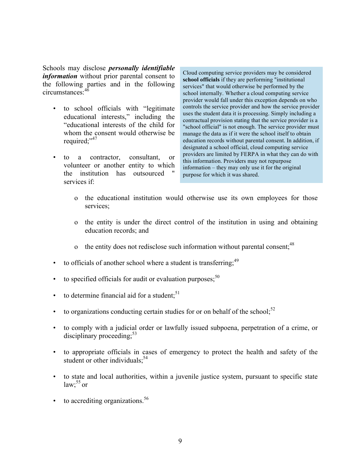Schools may disclose *personally identifiable information* without prior parental consent to the following parties and in the following circumstances:46

- to school officials with "legitimate educational interests," including the "educational interests of the child for whom the consent would otherwise be required;"<sup>47</sup>
- to a contractor, consultant, or volunteer or another entity to which the institution has outsourced services if:

Cloud computing service providers may be considered **school officials** if they are performing "institutional services" that would otherwise be performed by the school internally. Whether a cloud computing service provider would fall under this exception depends on who controls the service provider and how the service provider uses the student data it is processing. Simply including a contractual provision stating that the service provider is a "school official" is not enough. The service provider must manage the data as if it were the school itself to obtain education records without parental consent. In addition, if designated a school official, cloud computing service providers are limited by FERPA in what they can do with this information. Providers may not repurpose information – they may only use it for the original purpose for which it was shared.

- o the educational institution would otherwise use its own employees for those services;
- o the entity is under the direct control of the institution in using and obtaining education records; and
- o the entity does not redisclose such information without parental consent;<sup>48</sup>
- to officials of another school where a student is transferring;<sup>49</sup>
- to specified officials for audit or evaluation purposes; $50$
- to determine financial aid for a student; $51$
- to organizations conducting certain studies for or on behalf of the school; $^{52}$
- to comply with a judicial order or lawfully issued subpoena, perpetration of a crime, or disciplinary proceeding;  $53$
- to appropriate officials in cases of emergency to protect the health and safety of the student or other individuals; $54$
- to state and local authorities, within a juvenile justice system, pursuant to specific state  $law; ^{55}$  or
- $\cdot$  to accrediting organizations.<sup>56</sup>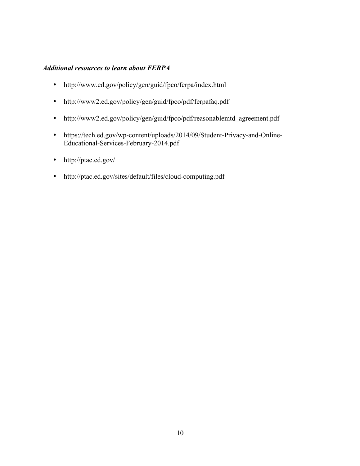### *Additional resources to learn about FERPA*

- http://www.ed.gov/policy/gen/guid/fpco/ferpa/index.html
- http://www2.ed.gov/policy/gen/guid/fpco/pdf/ferpafaq.pdf
- http://www2.ed.gov/policy/gen/guid/fpco/pdf/reasonablemtd agreement.pdf
- https://tech.ed.gov/wp-content/uploads/2014/09/Student-Privacy-and-Online-Educational-Services-February-2014.pdf
- http://ptac.ed.gov/
- http://ptac.ed.gov/sites/default/files/cloud-computing.pdf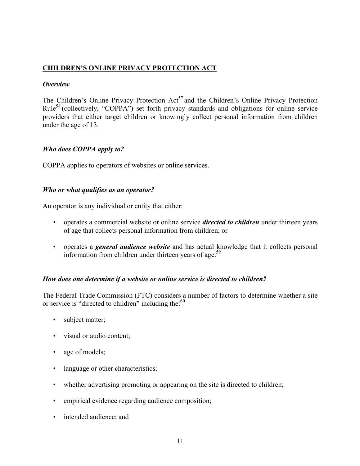## **CHILDREN'S ONLINE PRIVACY PROTECTION ACT**

#### *Overview*

The Children's Online Privacy Protection  $Act^{57}$  and the Children's Online Privacy Protection Rule<sup>58</sup> (collectively, "COPPA") set forth privacy standards and obligations for online service providers that either target children or knowingly collect personal information from children under the age of 13.

#### *Who does COPPA apply to?*

COPPA applies to operators of websites or online services.

#### *Who or what qualifies as an operator?*

An operator is any individual or entity that either:

- operates a commercial website or online service *directed to children* under thirteen years of age that collects personal information from children; or
- operates a *general audience website* and has actual knowledge that it collects personal information from children under thirteen years of age.<sup>59</sup>

#### *How does one determine if a website or online service is directed to children?*

The Federal Trade Commission (FTC) considers a number of factors to determine whether a site or service is "directed to children" including the:<sup>60</sup>

- subject matter;
- visual or audio content;
- age of models;
- language or other characteristics;
- whether advertising promoting or appearing on the site is directed to children;
- empirical evidence regarding audience composition;
- intended audience; and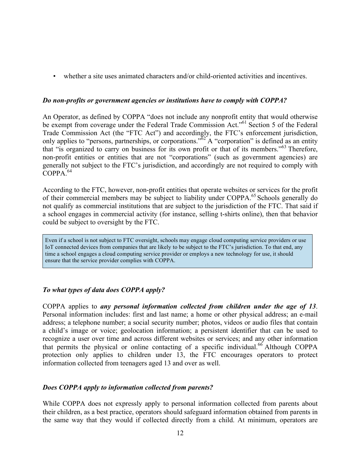• whether a site uses animated characters and/or child-oriented activities and incentives.

#### *Do non-profits or government agencies or institutions have to comply with COPPA?*

An Operator, as defined by COPPA "does not include any nonprofit entity that would otherwise be exempt from coverage under the Federal Trade Commission Act."<sup>61</sup> Section 5 of the Federal Trade Commission Act (the "FTC Act") and accordingly, the FTC's enforcement jurisdiction, only applies to "persons, partnerships, or corporations." $62 \text{ A}$  "corporation" is defined as an entity that "is organized to carry on business for its own profit or that of its members."<sup>63</sup> Therefore, non-profit entities or entities that are not "corporations" (such as government agencies) are generally not subject to the FTC's jurisdiction, and accordingly are not required to comply with  $COPPA$ <sup>64</sup>

According to the FTC, however, non-profit entities that operate websites or services for the profit of their commercial members may be subject to liability under COPPA.<sup>65</sup> Schools generally do not qualify as commercial institutions that are subject to the jurisdiction of the FTC. That said if a school engages in commercial activity (for instance, selling t-shirts online), then that behavior could be subject to oversight by the FTC.

Even if a school is not subject to FTC oversight, schools may engage cloud computing service providers or use IoT connected devices from companies that are likely to be subject to the FTC's jurisdiction. To that end, any time a school engages a cloud computing service provider or employs a new technology for use, it should ensure that the service provider complies with COPPA.

#### *To what types of data does COPPA apply?*

COPPA applies to *any personal information collected from children under the age of 13*. Personal information includes: first and last name; a home or other physical address; an e-mail address; a telephone number; a social security number; photos, videos or audio files that contain a child's image or voice; geolocation information; a persistent identifier that can be used to recognize a user over time and across different websites or services; and any other information that permits the physical or online contacting of a specific individual.<sup>66</sup> Although COPPA protection only applies to children under 13, the FTC encourages operators to protect information collected from teenagers aged 13 and over as well.

#### *Does COPPA apply to information collected from parents?*

While COPPA does not expressly apply to personal information collected from parents about their children, as a best practice, operators should safeguard information obtained from parents in the same way that they would if collected directly from a child. At minimum, operators are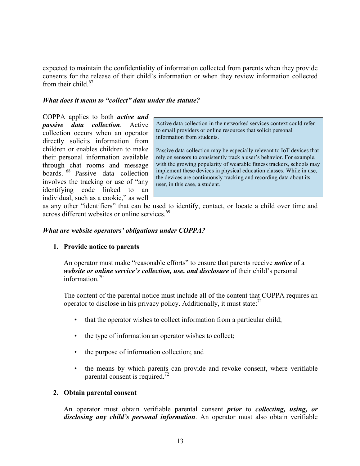expected to maintain the confidentiality of information collected from parents when they provide consents for the release of their child's information or when they review information collected from their child  $67$ 

#### *What does it mean to "collect" data under the statute?*

COPPA applies to both *active and passive data collection*. Active collection occurs when an operator directly solicits information from children or enables children to make their personal information available through chat rooms and message boards. <sup>68</sup> Passive data collection involves the tracking or use of "any identifying code linked to an individual, such as a cookie," as well

Active data collection in the networked services context could refer to email providers or online resources that solicit personal information from students.

Passive data collection may be especially relevant to IoT devices that rely on sensors to consistently track a user's behavior. For example, with the growing popularity of wearable fitness trackers, schools may implement these devices in physical education classes. While in use, the devices are continuously tracking and recording data about its user, in this case, a student.

as any other "identifiers" that can be used to identify, contact, or locate a child over time and across different websites or online services.<sup>69</sup>

#### *What are website operators' obligations under COPPA?*

#### **1. Provide notice to parents**

An operator must make "reasonable efforts" to ensure that parents receive *notice* of a *website or online service's collection, use, and disclosure* of their child's personal information.<sup>70</sup>

The content of the parental notice must include all of the content that COPPA requires an operator to disclose in his privacy policy. Additionally, it must state: $71$ 

- that the operator wishes to collect information from a particular child;
- the type of information an operator wishes to collect;
- the purpose of information collection; and
- the means by which parents can provide and revoke consent, where verifiable parental consent is required.<sup>72</sup>

#### **2. Obtain parental consent**

An operator must obtain verifiable parental consent *prior* to *collecting, using, or disclosing any child's personal information*. An operator must also obtain verifiable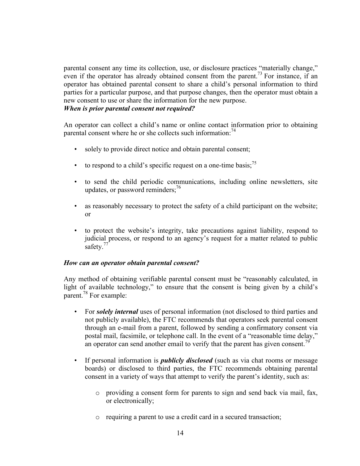parental consent any time its collection, use, or disclosure practices "materially change," even if the operator has already obtained consent from the parent.<sup>73</sup> For instance, if an operator has obtained parental consent to share a child's personal information to third parties for a particular purpose, and that purpose changes, then the operator must obtain a new consent to use or share the information for the new purpose.

#### *When is prior parental consent not required?*

An operator can collect a child's name or online contact information prior to obtaining parental consent where he or she collects such information:  $74$ 

- solely to provide direct notice and obtain parental consent;
- to respond to a child's specific request on a one-time basis;<sup>75</sup>
- to send the child periodic communications, including online newsletters, site updates, or password reminders;<sup>76</sup>
- as reasonably necessary to protect the safety of a child participant on the website; or
- to protect the website's integrity, take precautions against liability, respond to judicial process, or respond to an agency's request for a matter related to public safety.<sup>77</sup>

#### *How can an operator obtain parental consent?*

Any method of obtaining verifiable parental consent must be "reasonably calculated, in light of available technology," to ensure that the consent is being given by a child's parent.78 For example:

- For *solely internal* uses of personal information (not disclosed to third parties and not publicly available), the FTC recommends that operators seek parental consent through an e-mail from a parent, followed by sending a confirmatory consent via postal mail, facsimile, or telephone call. In the event of a "reasonable time delay," an operator can send another email to verify that the parent has given consent.<sup>79</sup>
- If personal information is *publicly disclosed* (such as via chat rooms or message boards) or disclosed to third parties, the FTC recommends obtaining parental consent in a variety of ways that attempt to verify the parent's identity, such as:
	- o providing a consent form for parents to sign and send back via mail, fax, or electronically;
	- o requiring a parent to use a credit card in a secured transaction;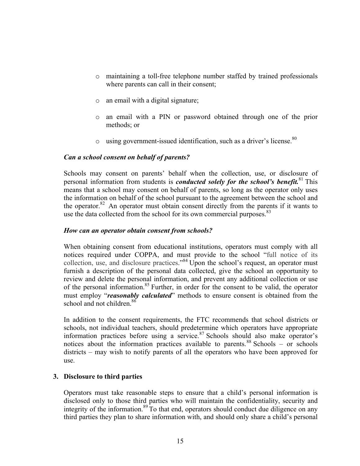- o maintaining a toll-free telephone number staffed by trained professionals where parents can call in their consent;
- o an email with a digital signature;
- o an email with a PIN or password obtained through one of the prior methods; or
- $\circ$  using government-issued identification, such as a driver's license.<sup>80</sup>

#### *Can a school consent on behalf of parents?*

Schools may consent on parents' behalf when the collection, use, or disclosure of personal information from students is *conducted solely for the school's benefit.*<sup>81</sup> This means that a school may consent on behalf of parents, so long as the operator only uses the information on behalf of the school pursuant to the agreement between the school and the operator.<sup>82</sup> An operator must obtain consent directly from the parents if it wants to use the data collected from the school for its own commercial purposes.  $83$ 

#### *How can an operator obtain consent from schools?*

When obtaining consent from educational institutions, operators must comply with all notices required under COPPA, and must provide to the school "full notice of its collection, use, and disclosure practices."<sup>84</sup> Upon the school's request, an operator must furnish a description of the personal data collected, give the school an opportunity to review and delete the personal information, and prevent any additional collection or use of the personal information.<sup>85</sup> Further, in order for the consent to be valid, the operator must employ "*reasonably calculated*" methods to ensure consent is obtained from the school and not children.<sup>86</sup>

In addition to the consent requirements, the FTC recommends that school districts or schools, not individual teachers, should predetermine which operators have appropriate information practices before using a service. <sup>87</sup> Schools should also make operator's notices about the information practices available to parents.<sup>88</sup> Schools – or schools districts – may wish to notify parents of all the operators who have been approved for use.

#### **3. Disclosure to third parties**

Operators must take reasonable steps to ensure that a child's personal information is disclosed only to those third parties who will maintain the confidentiality, security and integrity of the information.<sup>89</sup> To that end, operators should conduct due diligence on any third parties they plan to share information with, and should only share a child's personal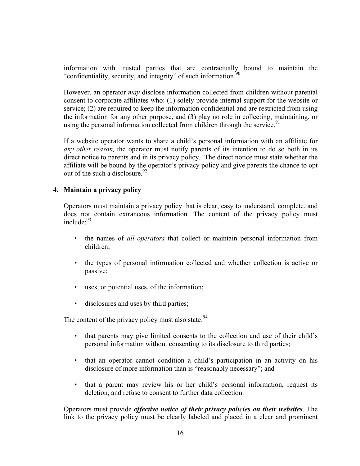information with trusted parties that are contractually bound to maintain the "confidentiality, security, and integrity" of such information.<sup>90</sup>

However, an operator *may* disclose information collected from children without parental consent to corporate affiliates who: (1) solely provide internal support for the website or service; (2) are required to keep the information confidential and are restricted from using the information for any other purpose, and (3) play no role in collecting, maintaining, or using the personal information collected from children through the service.<sup>91</sup>

If a website operator wants to share a child's personal information with an affiliate for *any other reason,* the operator must notify parents of its intention to do so both in its direct notice to parents and in its privacy policy. The direct notice must state whether the affiliate will be bound by the operator's privacy policy and give parents the chance to opt out of the such a disclosure.  $92$ 

#### **4. Maintain a privacy policy**

Operators must maintain a privacy policy that is clear, easy to understand, complete, and does not contain extraneous information. The content of the privacy policy must include:93

- the names of *all operators* that collect or maintain personal information from children;
- the types of personal information collected and whether collection is active or passive;
- uses, or potential uses, of the information;
- disclosures and uses by third parties;

The content of the privacy policy must also state: $94$ 

- that parents may give limited consents to the collection and use of their child's personal information without consenting to its disclosure to third parties;
- that an operator cannot condition a child's participation in an activity on his disclosure of more information than is "reasonably necessary"; and
- that a parent may review his or her child's personal information, request its deletion, and refuse to consent to further data collection.

Operators must provide *effective notice of their privacy policies on their websites*. The link to the privacy policy must be clearly labeled and placed in a clear and prominent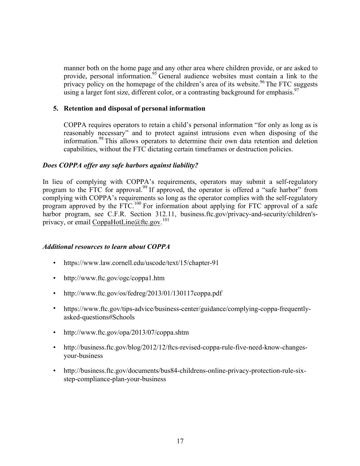manner both on the home page and any other area where children provide, or are asked to provide, personal information.<sup>95</sup> General audience websites must contain a link to the privacy policy on the homepage of the children's area of its website.<sup>96</sup> The FTC suggests using a larger font size, different color, or a contrasting background for emphasis.<sup>97</sup>

#### **5. Retention and disposal of personal information**

COPPA requires operators to retain a child's personal information "for only as long as is reasonably necessary" and to protect against intrusions even when disposing of the information.<sup>98</sup> This allows operators to determine their own data retention and deletion capabilities, without the FTC dictating certain timeframes or destruction policies.

#### *Does COPPA offer any safe harbors against liability?*

In lieu of complying with COPPA's requirements, operators may submit a self-regulatory program to the FTC for approval.<sup>99</sup> If approved, the operator is offered a "safe harbor" from complying with COPPA's requirements so long as the operator complies with the self-regulatory program approved by the FTC.<sup>100</sup> For information about applying for FTC approval of a safe harbor program, see C.F.R. Section 312.11, business.ftc.gov/privacy-and-security/children'sprivacy, or email CoppaHotLine@ftc.gov.<sup>101</sup>

#### *Additional resources to learn about COPPA*

- https://www.law.cornell.edu/uscode/text/15/chapter-91
- http://www.ftc.gov/ogc/coppa1.htm
- http://www.ftc.gov/os/fedreg/2013/01/130117coppa.pdf
- https://www.ftc.gov/tips-advice/business-center/guidance/complying-coppa-frequentlyasked-questions#Schools
- http://www.ftc.gov/opa/2013/07/coppa.shtm
- http://business.ftc.gov/blog/2012/12/ftcs-revised-coppa-rule-five-need-know-changesyour-business
- http://business.ftc.gov/documents/bus84-childrens-online-privacy-protection-rule-sixstep-compliance-plan-your-business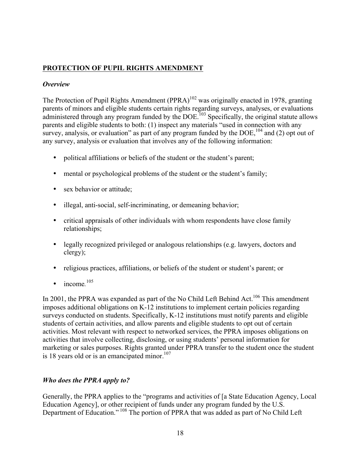## **PROTECTION OF PUPIL RIGHTS AMENDMENT**

#### *Overview*

The Protection of Pupil Rights Amendment (PPRA)<sup>102</sup> was originally enacted in 1978, granting parents of minors and eligible students certain rights regarding surveys, analyses, or evaluations administered through any program funded by the  $\text{DOE}^{\text{103}}$  Specifically, the original statute allows parents and eligible students to both: (1) inspect any materials "used in connection with any survey, analysis, or evaluation" as part of any program funded by the  $DOE<sub>104</sub>$  and (2) opt out of any survey, analysis or evaluation that involves any of the following information:

- political affiliations or beliefs of the student or the student's parent;
- mental or psychological problems of the student or the student's family;
- sex behavior or attitude;
- illegal, anti-social, self-incriminating, or demeaning behavior;
- critical appraisals of other individuals with whom respondents have close family relationships;
- legally recognized privileged or analogous relationships (e.g. lawyers, doctors and clergy);
- religious practices, affiliations, or beliefs of the student or student's parent; or
- income.<sup>105</sup>

In 2001, the PPRA was expanded as part of the No Child Left Behind Act.<sup>106</sup> This amendment imposes additional obligations on K-12 institutions to implement certain policies regarding surveys conducted on students. Specifically, K-12 institutions must notify parents and eligible students of certain activities, and allow parents and eligible students to opt out of certain activities. Most relevant with respect to networked services, the PPRA imposes obligations on activities that involve collecting, disclosing, or using students' personal information for marketing or sales purposes. Rights granted under PPRA transfer to the student once the student is 18 years old or is an emancipated minor.<sup>107</sup>

# *Who does the PPRA apply to?*

Generally, the PPRA applies to the "programs and activities of [a State Education Agency, Local Education Agency], or other recipient of funds under any program funded by the U.S. Department of Education." <sup>108</sup> The portion of PPRA that was added as part of No Child Left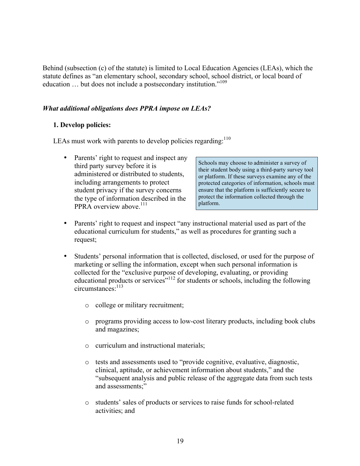Behind (subsection (c) of the statute) is limited to Local Education Agencies (LEAs), which the statute defines as "an elementary school, secondary school, school district, or local board of education ... but does not include a postsecondary institution."<sup>109</sup>

#### *What additional obligations does PPRA impose on LEAs?*

#### **1. Develop policies:**

LEAs must work with parents to develop policies regarding: $110$ 

• Parents' right to request and inspect any third party survey before it is administered or distributed to students, including arrangements to protect student privacy if the survey concerns the type of information described in the PPRA overview above.<sup>111</sup>

Schools may choose to administer a survey of their student body using a third-party survey tool or platform. If these surveys examine any of the protected categories of information, schools must ensure that the platform is sufficiently secure to protect the information collected through the platform.

- Parents' right to request and inspect "any instructional material used as part of the educational curriculum for students," as well as procedures for granting such a request;
- Students' personal information that is collected, disclosed, or used for the purpose of marketing or selling the information, except when such personal information is collected for the "exclusive purpose of developing, evaluating, or providing educational products or services<sup> $n_{112}$ </sup> for students or schools, including the following circumstances:113
	- o college or military recruitment;
	- o programs providing access to low-cost literary products, including book clubs and magazines;
	- o curriculum and instructional materials;
	- o tests and assessments used to "provide cognitive, evaluative, diagnostic, clinical, aptitude, or achievement information about students," and the "subsequent analysis and public release of the aggregate data from such tests and assessments;"
	- o students' sales of products or services to raise funds for school-related activities; and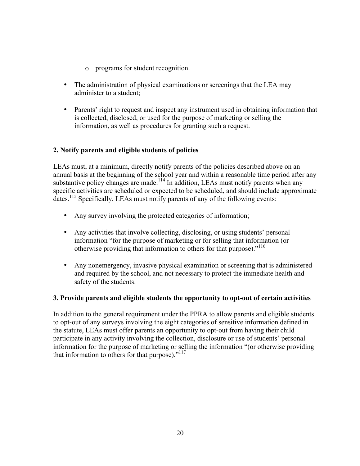- o programs for student recognition.
- The administration of physical examinations or screenings that the LEA may administer to a student;
- Parents' right to request and inspect any instrument used in obtaining information that is collected, disclosed, or used for the purpose of marketing or selling the information, as well as procedures for granting such a request.

#### **2. Notify parents and eligible students of policies**

LEAs must, at a minimum, directly notify parents of the policies described above on an annual basis at the beginning of the school year and within a reasonable time period after any substantive policy changes are made.<sup>114</sup> In addition, LEAs must notify parents when any specific activities are scheduled or expected to be scheduled, and should include approximate dates.<sup>115</sup> Specifically, LEAs must notify parents of any of the following events:

- Any survey involving the protected categories of information;
- Any activities that involve collecting, disclosing, or using students' personal information "for the purpose of marketing or for selling that information (or otherwise providing that information to others for that purpose)."<sup>116</sup>
- Any nonemergency, invasive physical examination or screening that is administered and required by the school, and not necessary to protect the immediate health and safety of the students.

#### **3. Provide parents and eligible students the opportunity to opt-out of certain activities**

In addition to the general requirement under the PPRA to allow parents and eligible students to opt-out of any surveys involving the eight categories of sensitive information defined in the statute, LEAs must offer parents an opportunity to opt-out from having their child participate in any activity involving the collection, disclosure or use of students' personal information for the purpose of marketing or selling the information "(or otherwise providing that information to others for that purpose)."<sup>117</sup>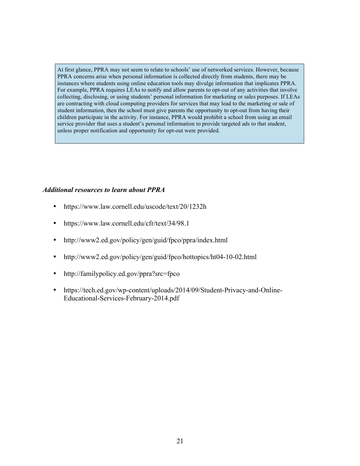At first glance, PPRA may not seem to relate to schools' use of networked services. However, because PPRA concerns arise when personal information is collected directly from students, there may be instances where students using online education tools may divulge information that implicates PPRA. For example, PPRA requires LEAs to notify and allow parents to opt-out of any activities that involve collecting, disclosing, or using students' personal information for marketing or sales purposes. If LEAs are contracting with cloud computing providers for services that may lead to the marketing or sale of student information, then the school must give parents the opportunity to opt-out from having their children participate in the activity. For instance, PPRA would prohibit a school from using an email service provider that uses a student's personal information to provide targeted ads to that student, unless proper notification and opportunity for opt-out were provided.

#### *Additional resources to learn about PPRA*

- https://www.law.cornell.edu/uscode/text/20/1232h
- https://www.law.cornell.edu/cfr/text/34/98.1
- http://www2.ed.gov/policy/gen/guid/fpco/ppra/index.html
- http://www2.ed.gov/policy/gen/guid/fpco/hottopics/ht04-10-02.html
- http://familypolicy.ed.gov/ppra?src=fpco
- https://tech.ed.gov/wp-content/uploads/2014/09/Student-Privacy-and-Online-Educational-Services-February-2014.pdf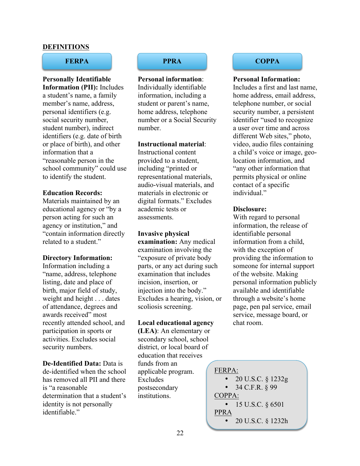#### **DEFINITIONS**

**Personally Identifiable Information (PII):** Includes a student's name, a family member's name, address, personal identifiers (e.g. social security number, student number), indirect identifiers (e.g. date of birth or place of birth), and other information that a "reasonable person in the school community" could use to identify the student.

#### **Education Records:**

Materials maintained by an educational agency or "by a person acting for such an agency or institution," and "contain information directly related to a student."

#### **Directory Information:**

Information including a "name, address, telephone listing, date and place of birth, major field of study, weight and height . . . dates of attendance, degrees and awards received" most recently attended school, and participation in sports or activities. Excludes social security numbers.

#### **De-Identified Data:** Data is

de-identified when the school has removed all PII and there is "a reasonable determination that a student's identity is not personally identifiable"

**Personal information**: Individually identifiable information, including a student or parent's name, home address, telephone number or a Social Security number.

#### **Instructional material**:

Instructional content provided to a student, including "printed or representational materials, audio-visual materials, and materials in electronic or digital formats." Excludes academic tests or assessments.

**Invasive physical examination:** Any medical examination involving the "exposure of private body parts, or any act during such examination that includes incision, insertion, or injection into the body." Excludes a hearing, vision, or scoliosis screening.

#### **Local educational agency**

**(LEA)**: An elementary or secondary school, school district, or local board of education that receives funds from an applicable program. Excludes postsecondary institutions.

#### **FERPA PPRA COPPA**

#### **Personal Information:**

Includes a first and last name, home address, email address, telephone number, or social security number, a persistent identifier "used to recognize a user over time and across different Web sites," photo, video, audio files containing a child's voice or image, geolocation information, and "any other information that permits physical or online contact of a specific individual"

#### **Disclosure:**

With regard to personal information, the release of identifiable personal information from a child, with the exception of providing the information to someone for internal support of the website. Making personal information publicly available and identifiable through a website's home page, pen pal service, email service, message board, or chat room.

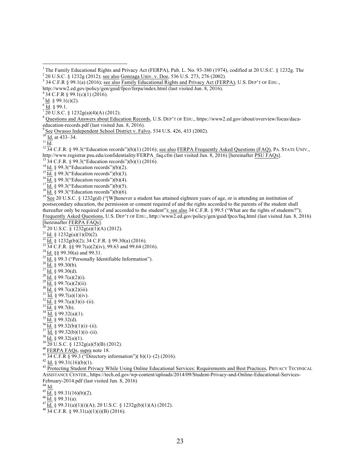- 
- 

postsecondary education, the permission or consent required of and the rights accorded to the parents of the student shall thereafter only be required of and accorded to the student"); see also  $34 \overline{C}$ .F.R. § 99.5 ("What are the rights of students?"); Frequently Asked Questions, U.S. DEP'T OF EDU., http://www2.ed.gov/policy/gen/guid/fpco/faq.html (last visited Jun. 8, 2016)

- 
- 
- 
- 
- 
- 
- 
- 
- 
- 
- 
- 
- 
- 
- 
- 
- 

<sup>&</sup>lt;sup>1</sup> The Family Educational Rights and Privacy Act (FERPA), Pub. L. No. 93-380 (1974), codified at 20 U.S.C. § 1232g. The <sup>2</sup> 20 U.S.C. § 1232g (2012); <u>see also Gonzaga Univ. v. Doe</u>, 536 U.S. 273, 276 (2002).<br><sup>3</sup> 34 C.F.

http://www2.ed.gov/policy/gen/guid/fpco/ferpa/index.html (last visited Jun. 8, 2016).<br>
<sup>4</sup> 34 C.F.R § 99.1(c)(1) (2016).<br>
<sup>5</sup> <u>Id</u>. § 99.1(c)(2).<br>
<sup>6</sup> <u>Id</u>. § 99.1.<br>
<sup>7</sup> 20 U.S.C. § 1232g(a)(4)(A) (2012).<br>
<sup>8</sup> Questions a

education-records.pdf (last visited Jun. 8, 2016).<br>
<sup>9</sup> <u>See Owasso Independent School District v. Falvo</u>, 534 U.S. 426, 433 (2002).<br>
<sup>10</sup> <u>Id.</u> at 433–34.<br>
<sup>11</sup> <u>Id.</u><br>
<sup>12</sup> 34 C.F.R. § 99.3("Education records")(b)(1) (20 http://www.registrar.psu.edu/confidentiality/FERPA\_faq.cfm (last visited Jun. 8, 2016) [hereinafter <u>PSU FAQs]</u>.<br><sup>13</sup> 34 C.F.R. § 99.3("Education records")(b)(1) (2016).<br><sup>14</sup> <u>Id.</u> § 99.3("Education records")(b)(2).<br><sup>15</sup>

<sup>[</sup>hereinafter FERPA FAQs].<br>  $^{21}$  ld, § 1232g(a)(1)(A)(2012).<br>  $^{21}$  ld, § 1232g(a)(1)(D)(2).<br>  $^{22}$  ld, § 1232g(a)(1)(D)(2).<br>  $^{22}$  ld, § 1232g(a)(2)(iv), 99.63 and 99.64 (2016).<br>  $^{23}$  ld, § 99.3(a) and 99.31.<br>  $^{23$ ASSISTANCE CENTER., https://tech.ed.gov/wp-content/uploads/2014/09/Student-Privacy-and-Online-Educational-Services-

February-2014.pdf (last visited Jun. 8, 2016)<br><sup>44</sup> Id.<br><sup>45</sup> Id. § 99.31(16)(b)(2).<br><sup>46</sup> Id. § 99.31(a).<br><sup>47</sup> Id. § 99.31(a)(1)(i)(A); 20 U.S.C. § 1232g(b)(1)(A) (2012).<br><sup>48</sup> 34 C.F.R. § 99.31(a)(1)(i)(B) (2016).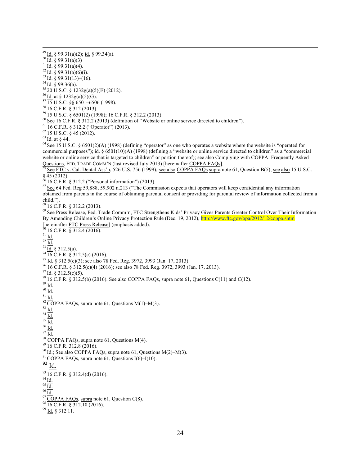<sup>49</sup> Id. § 99.31(a)(2); id. § 99.34(a).<br><sup>50</sup> Id. § 99.31(a)(3)<br><sup>51</sup> Id. § 99.31(a)(4).<br><sup>53</sup> Id. § 99.31(a)(6)(i).<br><sup>54</sup> Id. § 99.31(a)(6)(i).<br><sup>54</sup> Id. § 99.31(a)(5)(i).<br><sup>54</sup> Id. § 99.322(a)(5)(C).<br><sup>57</sup> IS U.S.C. § 4232g(a) commercial purposes"); id. § 6501(10)(A) (1998) (defining a "website or online service directed to children" as a "commercial website or online service that is targeted to children" or portion thereof); see also Complying with COPPA: Frequently Asked Questions, FED. TRADE COMM'N (last revised July 2013) [hereinafter COPPA FAQs].<br><sup>65</sup> See FTC v. Cal. Dental Ass'n, 526 U.S. 756 (1999); <u>see also COPPA FAQs supra</u> note 61, Question B(5); <u>see also</u> 15 U.S.C. § 45 (2012).<br><sup>66</sup> 16 C.F.R. § 312.2 ("Personal information") (2013).<br><sup>67</sup> See 64 Fed. Reg 59,888, 59,902 n.213 ("The Commission expects that operators will keep confidential any information obtained from parents in the course of obtaining parental consent or providing for parental review of information collected from a child.").<br><sup>68</sup> 16 C.F.R. § 312.2 (2013). <sup>69</sup> See Press Release, Fed. Trade Comm'n, FTC Strengthens Kids' Privacy Gives Parents Greater Control Over Their Information By Amending Children's Online Privacy Protection Rule (Dec. 19, 2012), http://www.ftc.gov/opa/2012/12/coppa.shtm [hereinafter FTC Press Release] (emphasis added). [hereinafter <u>FTC Press Release]</u> (emphasis added).<br>
70 16 C.F.R. § 312.4 (2016).<br>
71 <u>Id.</u><br>
73 <u>Id.</u> § 312.5(c) (2016).<br>
7<sup>3</sup> Id. § 312.5(c) (2016).<br>
76 Id. § 312.5(c)(3); see also 78 Fed. Reg. 3972, 3993 (Jan. 17, 2013) <sup>91</sup> COPPA FAQs, supra note 61, Questions I(6)–I(10).<br>92 Id. <sup>93</sup> 16 C.F.R. § 312.4(d) (2016).<br><sup>94</sup> <u>Id.</u><br><sup>95</sup> <u>Id.</u><br><sup>97</sup> COPPA FAQs, supra note 61, Question C(8).<br><sup>98</sup> 16 C.F.R. § 312.10 (2016).<br><sup>99</sup> Id. § 312.11.